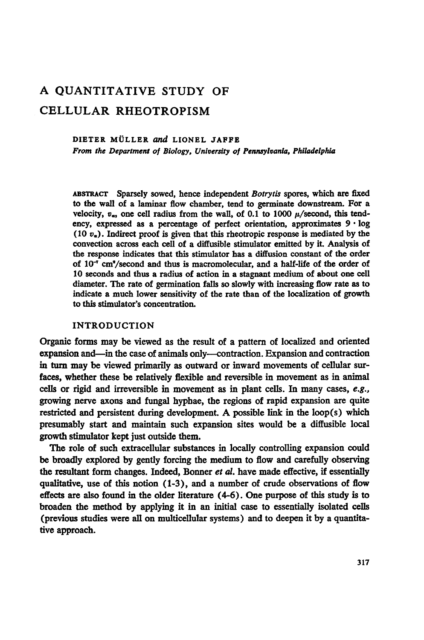# A QUANTITATIVE STUDY OF CELLULAR RHEOTROPISM

#### DIETER MÜLLER and LIONEL JAFFE

From the Department of Biology, University of Pennsylvania, Philadelphia

ABSTRACT Sparsely sowed, hence independent Botrytis spores, which are fixed to the wall of a laminar flow chamber, tend to germinate downstream. For a velocity,  $v_{\rm s}$ , one cell radius from the wall, of 0.1 to 1000  $\mu$ /second, this tendency, expressed as a percentage of perfect orientation, approximates  $9 \cdot \log$  $(10 v<sub>e</sub>)$ . Indirect proof is given that this rheotropic response is mediated by the convection across each cell of a diffusible stimulator emitted by it. Analysis of the response indicates that this stimulator has a diffusion constant of the order of  $10^{-7}$  cm<sup>2</sup>/second and thus is macromolecular, and a half-life of the order of 10 seconds and thus a radius of action in a stagnant medium of about one cell diameter. The rate of germination falls so slowly with increasing flow rate as to indicate a much lower sensitivity of the rate than of the localization of growth to this stimulator's concentration.

#### INTRODUCTION

Organic forms may be viewed as the result of a pattern of localized and oriented expansion and-in the case of animals only-contraction. Expansion and contraction in turn may be viewed primarily as outward or inward movements of cellular surfaces, whether these be relatively flexible and reversible in movement as in animal cells or rigid and irreversible in movement as in plant cells. In many cases, e.g., growing nerve axons and fungal hyphae, the regions of rapid expansion are quite restricted and persistent during development. A possible link in the loop(s) which presumably start and maintain such expansion sites would be a diffusible local growth stimulator kept just outside them.

The role of such extracellular substances in locally controlling expansion could be broadly explored by gently forcing the medium to flow and carefully observing the resultant form changes. Indeed, Bonner et al. have made effective, if essentially qualitative, use of this notion (1-3), and a number of crude observations of flow effects are also found in the older literature (4-6). One purpose of this study is to broaden the method by applying it in an initial case to essentially isolated cells (previous studies were all on multicellular systems) and to deepen it by a quantitative approach.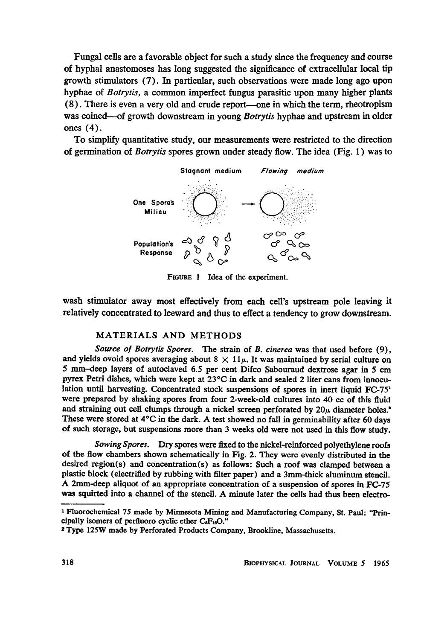Fungal cells are a favorable object for such a study since the frequency and course of hyphal anastomoses has long suggested the significance of extracellular local tip growth stimulators (7). In particular, such observations were made long ago upon hyphae of *Botrytis*, a common imperfect fungus parasitic upon many higher plants (8). There is even a very old and crude report-one in which the term, rheotropism was coined—of growth downstream in young *Botrytis* hyphae and upstream in older ones (4).

To simplify quantitative study, our measurements were restricted to the direction of germination of Botrytis spores grown under steady flow. The idea (Fig. 1) was to



FIGURE <sup>1</sup> Idea of the experiment.

wash stimulator away most effectively from each cell's upstream pole leaving it relatively concentrated to leeward and thus to effect a tendency to grow downstream.

#### MATERIALS AND METHODS

Source of Botrytis Spores. The strain of B. cinerea was that used before (9), and yields ovoid spores averaging about  $8 \times 11\mu$ . It was maintained by serial culture on 5 mm-deep layers of autoclaved 6.5 per cent Difco Sabouraud dextrose agar in 5 cm pyrex Petri dishes, which were kept at  $23^{\circ}$ C in dark and sealed 2 liter cans from innoculation until harvesting. Concentrated stock suspensions of spores in inert liquid FC-75' were prepared by shaking spores from four 2-week-old cultures into 40 cc of this fluid and straining out cell clumps through a nickel screen perforated by  $20\mu$  diameter holes.<sup>\*</sup> These were stored at 4°C in the dark. A test showed no fall in germinability after <sup>60</sup> days of such storage, but suspensions more than 3 weeks old were not used in this flow study.

Sowing Spores. Dry spores were fixed to the nickel-reinforced polyethylene roofs of the flow chambers shown schematically in Fig. 2. They were evenly distributed in the desired region(s) and concentration(s) as follows: Such a roof was clamped between a plastic block (electrified by rubbing with filter paper) and a 3mm-thick aluminum stencil. A 2mm-deep aliquot of an appropriate concentration of <sup>a</sup> suspension of spores in FC-75 was squirted into <sup>a</sup> channel of the stencil. A minute later the cells had thus been electro-

<sup>1</sup> Fluorochemical 75 made by Minnesota Mining and Manufacturing Company, St. Paul: "Principally isomers of perfluoro cyclic ether  $C_8F_{16}O$ ."

<sup>2</sup> Type 125W made by Perforated Products Company, Brookline, Massachusetts.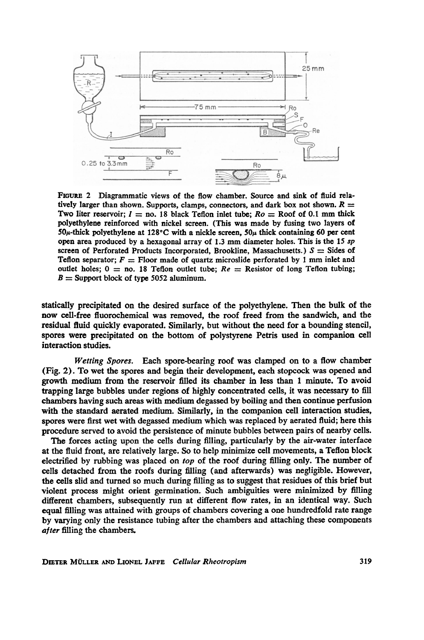

FiGuxE 2 Diagrammatic views of the flow chamber. Source and sink of fluid relatively larger than shown. Supports, clamps, connectors, and dark box not shown.  $R =$ Two liter reservoir;  $I =$  no. 18 black Teflon inlet tube;  $Ro =$  Roof of 0.1 mm thick polyethylene reinforced with nickel screen. (This was made by fusing two layers of  $50\mu$ -thick polyethylene at 128°C with a nickle screen,  $50\mu$  thick containing 60 per cent open area produced by <sup>a</sup> hexagonal array of 1.3 mm diameter holes. This is the <sup>15</sup> sp screen of Perforated Products Incorporated, Brookline, Massachusetts.)  $S =$  Sides of Teflon separator;  $F =$  Floor made of quartz microslide perforated by 1 mm inlet and outlet holes;  $0 =$  no. 18 Teflon outlet tube;  $Re =$  Resistor of long Teflon tubing;  $B =$  Support block of type 5052 aluminum.

statically precipitated on the desired surface of the polyethylene. Then the bulk of the now cell-free fluorochemical was removed, the roof freed from the sandwich, and the residual fluid quickly evaporated. Similarly, but without the need for a bounding stencil, spores were precipitated on the bottom of polystyrene Petris used in companion cell interaction studies.

Wetting Spores. Each spore-bearing roof was clamped on to a flow chamber (Fig. 2). To wet the spores and begin their development, each stopcock was opened and growth medium from the reservoir filled its chamber in less than <sup>1</sup> minute. To avoid trapping large bubbles under regions of highly concentrated cells, it was necessary to fill chambers having such areas with medium degassed by boiling and then continue perfusion with the standard aerated medium. Similarly, in the companion cell interaction studies, spores were first wet with degassed medium which was replaced by aerated fluid; here this procedure served to avoid the persistence of minute bubbles between pairs of nearby cells.

The forces acting upon the cells during filling, particularly by the air-water interface at the fluid front, are relatively large. So to help minimize cell movements, a Teflon block electrified by rubbing was placed on top of the roof during filling only. The number of cells detached from the roofs during filling (and afterwards) was negligible. However, the cells slid and turned so much during filling as to suggest that residues of this brief but violent process might orient germination. Such ambiguities were minimized by filling different chambers, subsequently run at different flow rates, in an identical way. Such equal filling was attained with groups of chambers covering a one hundredfold rate range by varying only the resistance tubing after the chambers and attaching these components after filling the chambers.

DIETER MULLER AND LIONEL JAFFE Cellular Rheotropism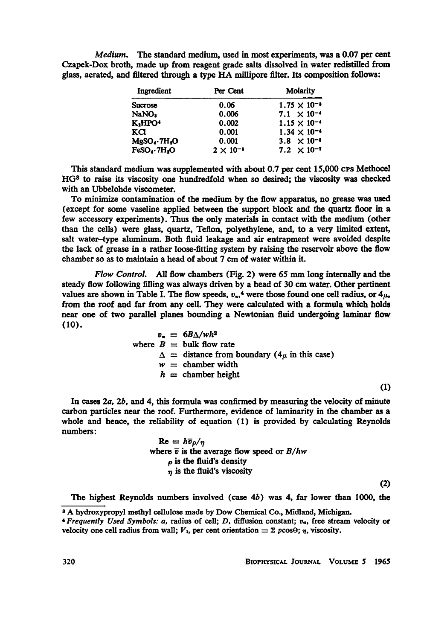Medium. The standard medium, used in most experiments, was a 0.07 per cent Czapek-Dox broth, made up from reagent grade salts dissolved in water redistilled from glass, aerated, and filtered through <sup>a</sup> type HA millipore filter. Its composition follows:

| Ingredient                           | Per Cent           | <b>Molarity</b>       |
|--------------------------------------|--------------------|-----------------------|
| Sucrose                              | 0.06               | $1.75 \times 10^{-8}$ |
| NaNO2                                | 0.006              | $7.1 \times 10^{-4}$  |
| K.HPO'                               | 0.002              | $1.15 \times 10^{-4}$ |
| KCl                                  | 0.001              | $1.34 \times 10^{-4}$ |
| MgSO <sub>4</sub> ·7H <sub>2</sub> O | 0.001              | $3.8 \times 10^{-5}$  |
| FeSO.7H <sub>2</sub> O               | $2 \times 10^{-5}$ | $7.2 \times 10^{-7}$  |

This standard medium was supplemented with about  $0.7$  per cent  $15,000$  CPs Methocel HG3 to raise its viscosity one hundredfold when so desired; the viscosity was checked with an Ubbelohde viscometer.

To minimize contamination of the medium by the flow apparatus, no grease was used (except for some vaseline applied between the support block and the quartz floor in a few accessory experiments). Thus the only materials in contact with the medium (other than the cells) were glass, quartz, Teflon, polyethylene, and, to a very limited extent, salt water-type aluminum. Both fluid leakage and air entrapment were avoided despite the lack of grease in a rather loose-fitting system by raising the reservoir above the flow chamber so as to maintain a head of about 7 cm of water within it.

Flow Control. All flow chambers (Fig. 2) were <sup>65</sup> mm long internally and the steady flow following filling was always driven by a head of 30 cm water. Other pertinent values are shown in Table I. The flow speeds,  $v_{\rm e}$ ,<sup>4</sup> were those found one cell radius, or  $4\mu$ , from the roof and far from any cell. They were calculated with a formula which holds near one of two parallel planes bounding a Newtonian fluid undergoing laminar flow (10).

$$
v_a = 6B\Delta/wh^2
$$
  
where  $B =$  bulk flow rate  

$$
\Delta =
$$
 distance from boundary (4 $\mu$  in this case)  
 $w =$  chamber width  
 $h =$  chamber height

(1)

(2)

In cases 2a, 2b, and 4, this formula was confirmed by measuring the velocity of minute carbon particles near the roof. Furthermore, evidence of laminarity in the chamber as a whole and hence, the reliability of equation (1) is provided by calculating Reynolds numbers:

| $\text{Re} = h\overline{v}_{\rho}/\eta$             |
|-----------------------------------------------------|
| where $\bar{v}$ is the average flow speed or $B/hw$ |
| $\rho$ is the fluid's density                       |
| $\eta$ is the fluid's viscosity                     |
|                                                     |

The highest Reynolds numbers involved (case  $4b$ ) was 4, far lower than 1000, the

<sup>8</sup> A hydroxypropyl methyl cellulose made by Dow Chemical Co., Midland, Michigan.

 $4$  Frequently Used Symbols: a, radius of cell; D, diffusion constant;  $v_{\alpha}$ , free stream velocity or velocity one cell radius from wall;  $V_1$ , per cent orientation  $= \Sigma p \cos\theta$ ;  $\eta$ , viscosity.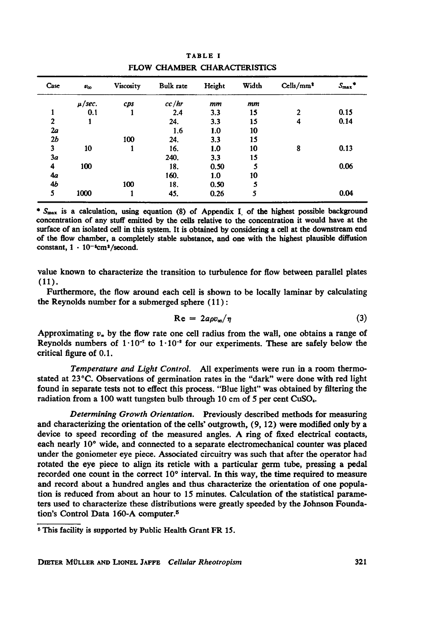| Case           | $v_{\infty}$ | Viscosity | <b>Bulk</b> rate | Height | Width | Cells/mm <sup>2</sup> | $S_{\text{max}}$ * |
|----------------|--------------|-----------|------------------|--------|-------|-----------------------|--------------------|
|                | $\mu/sec.$   | cps       | cc/hr            | mm     | mm    |                       |                    |
|                | 0.1          |           | 2.4              | 3.3    | 15    | $\mathbf{2}$          | 0.15               |
| $\overline{2}$ |              |           | 24.              | 3.3    | 15    | 4                     | 0.14               |
| 2a             |              |           | 1.6              | 1.0    | 10    |                       |                    |
| 2 <sub>b</sub> |              | 100       | 24.              | 3.3    | 15    |                       |                    |
| 3              | 10           |           | 16.              | 1.0    | 10    | 8                     | 0.13               |
| 3а             |              |           | 240.             | 3.3    | 15    |                       |                    |
| 4              | 100          |           | 18.              | 0.50   | 5     |                       | 0.06               |
| 4a             |              |           | 160.             | 1.0    | 10    |                       |                    |
| 4b             |              | 100       | 18.              | 0.50   | 5     |                       |                    |
| 5              | 1000         |           | 45.              | 0.26   | 5     |                       | 0.04               |

TABLE <sup>I</sup> FLOW CHAMBER CHARACTERISTICS

\*  $S<sub>max</sub>$  is a calculation, using equation (8) of Appendix I of the highest possible background concentration of any stuff emitted by the cells relative to the concentration it would have at the surface of an isolated cell in this system. It is obtained by considering a cell at the downstream end of the flow chamber, a completely stable substance, and one with the highest plausible diffusion constant,  $1 \cdot 10^{-5}$ cm<sup>2</sup>/second.

value known to characterize the transition to turbulence for flow between parallel plates (11).

Furthermore, the flow around each cell is shown to be locally laminar by calculating the Reynolds number for a submerged sphere (11):

$$
Re = 2a\rho v_{\infty}/\eta
$$
 (3)

Approximating  $v_a$  by the flow rate one cell radius from the wall, one obtains a range of Reynolds numbers of  $1 \cdot 10^{-7}$  to  $1 \cdot 10^{-8}$  for our experiments. These are safely below the critical figure of 0.1.

Temperature and Light Control. All experiments were run in a room thermostated at 23°C. Observations of germination rates in the "dark" were done with red light found in separate tests not to effect this process. "Blue light" was obtained by filtering the radiation from a 100 watt tungsten bulb through 10 cm of 5 per cent CuSO4.

Determining Growth Orientation. Previously described methods for measuring and characterizing the orientation of the cells' outgrowth, (9, 12) were modified only by a device to speed recording of the measured angles. A ring of fixed electrical contacts, each nearly 10° wide, and connected to a separate electromechanical counter was placed under the goniometer eye piece. Associated circuitry was such that after the operator had rotated the eye piece to align its reticle with a particular germ tube, pressing a pedal recorded one count in the correct  $10^{\circ}$  interval. In this way, the time required to measure and record about a hundred angles and thus characterize the orientation of one population is reduced from about an hour to 15 minutes. Calculation of the statistical parameters used to characterize these distributions were greatly speeded by the Johnson Foundation's Control Data 160-A computer.5

<sup>&</sup>lt;sup>5</sup> This facility is supported by Public Health Grant FR 15.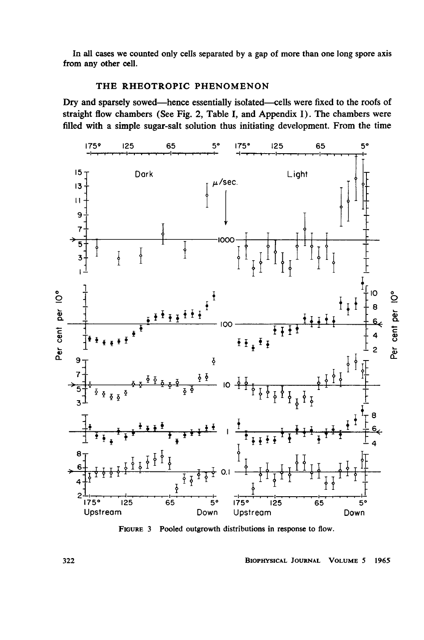In all cases we counted only cells separated by a gap of more than one long spore axis from any other cell.

# THE RHEOTROPIC PHENOMENON

Dry and sparsely sowed-hence essentially isolated-cells were fixed to the roofs of straight flow chambers (See Fig. 2, Table I, and Appendix I). The chambers were filled with a simple sugar-salt solution thus initiating development. From the time



FIGURE 3 Pooled outgrowth distributions in response to flow.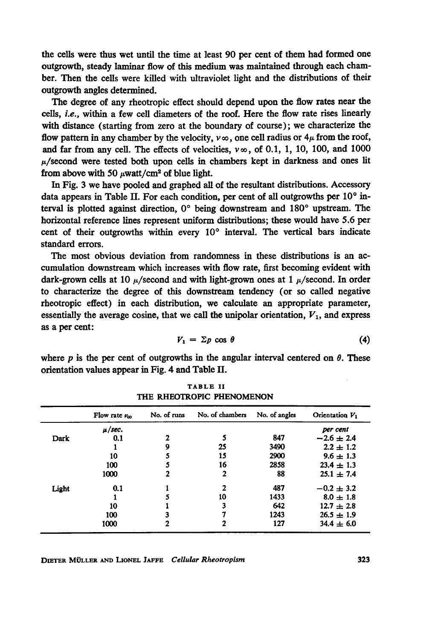the cells were thus wet until the time at least 90 per cent of them had formed one outgrowth, steady laminar flow of this medium was maintained through each chamber. Then the cells were killed with ultraviolet light and the distributions of their outgrowth angles determined.

The degree of any rheotropic effect should depend upon the flow rates near the cells, i.e., within <sup>a</sup> few cell diameters of the roof. Here the flow rate rises linearly with distance (starting from zero at the boundary of course); we characterize the flow pattern in any chamber by the velocity,  $v \infty$ , one cell radius or  $4\mu$  from the roof, and far from any cell. The effects of velocities,  $v\infty$ , of 0.1, 1, 10, 100, and 1000  $\mu$ /second were tested both upon cells in chambers kept in darkness and ones lit from above with 50  $\mu$ watt/cm<sup>2</sup> of blue light.

In Fig. 3 we have pooled and graphed all of the resultant distributions. Accessory data appears in Table II. For each condition, per cent of all outgrowths per  $10^{\circ}$  interval is plotted against direction,  $0^{\circ}$  being downstream and  $180^{\circ}$  upstream. The horizontal reference lines represent uniform distributions; these would have 5.6 per cent of their outgrowths within every  $10^{\circ}$  interval. The vertical bars indicate standard errors.

The most obvious deviation from randomness in these distributions is an accumulation downstream which increases with flow rate, first becoming evident with dark-grown cells at 10  $\mu$ /second and with light-grown ones at 1  $\mu$ /second. In order to characterize the degree of this downstream tendency (or so called negative rheotropic effect) in each distribution, we calculate an appropriate parameter, essentially the average cosine, that we call the unipolar orientation,  $V_1$ , and express as a per cent:

$$
V_1 = \Sigma p \cos \theta \tag{4}
$$

where p is the per cent of outgrowths in the angular interval centered on  $\theta$ . These orientation values appear in Fig. 4 and Table II.

|       | Flow rate $v_{\infty}$ | No. of runs | No. of chambers | No. of angles | Orientation V <sub>1</sub> |
|-------|------------------------|-------------|-----------------|---------------|----------------------------|
|       | $\mu$ /sec.            |             |                 |               | per cent                   |
| Dark  | 0.1                    | 2           |                 | 847           | $-2.6 \pm 2.4$             |
|       |                        | 9           | 25              | 3490          | $2.2 \pm 1.2$              |
|       | 10                     | 5           | 15              | 2900          | $9.6 \pm 1.3$              |
|       | 100                    |             | 16              | 2858          | $23.4 \pm 1.3$             |
|       | 1000                   |             | 2               | 88            | $25.1 \pm 7.4$             |
| Light | 0.1                    |             | $\mathbf{2}$    | 487           | $-0.2 \pm 3.2$             |
|       |                        |             | 10              | 1433          | $8.0 \pm 1.8$              |
|       | 10                     |             | 3               | 642           | $12.7 \pm 2.8$             |
|       | 100                    |             |                 | 1243          | $26.5 \pm 1.9$             |
|       | 1000                   | 2           | 2               | 127           | $34.4 \pm 6.0$             |

TABLE II THE RHEOTROPIC PHENOMENON

DIETER MOLLER AND LIONEL JAFFE Cellular Rheotropism 323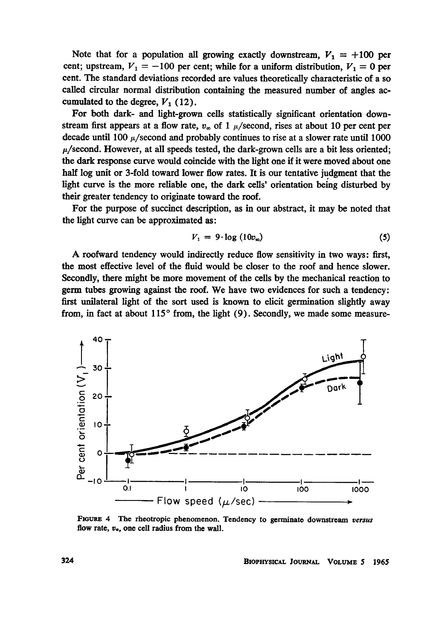Note that for a population all growing exactly downstream,  $V_1 = +100$  per cent; upstream,  $V_1 = -100$  per cent; while for a uniform distribution,  $V_1 = 0$  per cent. The standard deviations recorded are values theoretically characteristic of a so called circular normal distribution containing the measured number of angles accumulated to the degree,  $V_1$  (12).

For both dark- and light-grown cells statistically significant orientation downstream first appears at a flow rate,  $v_{\infty}$  of 1  $\mu$ /second, rises at about 10 per cent per decade until 100  $\mu$ /second and probably continues to rise at a slower rate until 1000  $\mu$ /second. However, at all speeds tested, the dark-grown cells are a bit less oriented; the dark response curve would coincide with the light one if it were moved about one half log unit or 3-fold toward lower flow rates. It is our tentative judgment that the light curve is the more reliable one, the dark cells' orientation being disturbed by their greater tendency to originate toward the roof.

For the purpose of succinct description, as in our abstract, it may be noted that the light curve can be approximated as:

$$
V_1 = 9 \cdot \log(10v_{\infty}) \tag{5}
$$

A roofward tendency would indirectly reduce flow sensitivity in two ways: first, the most effective level of the fluid would be closer to the roof and hence slower. Secondly, there might be more movement of the cells by the mechanical reaction to germ tubes growing against the roof. We have two evidences for such <sup>a</sup> tendency: first unilateral light of the sort used is known to elicit germination slightly away from, in fact at about  $115^{\circ}$  from, the light (9). Secondly, we made some measure-



FIGURE 4 The rheotropic phenomenon. Tendency to germinate downstream versus flow rate,  $v_{\infty}$ , one cell radius from the wall.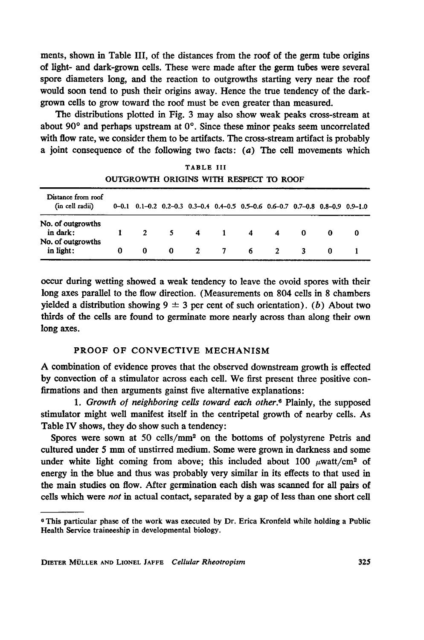ments, shown in Table III, of the distances from the roof of the germ tube origins of light- and dark-grown cells. These were made after the germ tubes were several spore diameters long, and the reaction to outgrowths starting very near the roof would soon tend to push their origins away. Hence the true tendency of the darkgrown cells to grow toward the roof must be even greater than measured.

The distributions plotted in Fig. 3 may also show weak peaks cross-stream at about 90 $^{\circ}$  and perhaps upstream at  $0^{\circ}$ . Since these minor peaks seem uncorrelated with flow rate, we consider them to be artifacts. The cross-stream artifact is probably a joint consequence of the following two facts:  $(a)$  The cell movements which

| OUTGROWTH ORIGINS WITH RESPECT TO ROOF |   |                                                                                                   |          |                         |                |             |                |          |   |
|----------------------------------------|---|---------------------------------------------------------------------------------------------------|----------|-------------------------|----------------|-------------|----------------|----------|---|
| Distance from roof<br>(in cell radii)  |   | $0-0.1$ $0.1-0.2$ $0.2-0.3$ $0.3-0.4$ $0.4-0.5$ $0.5-0.6$ $0.6-0.7$ $0.7-0.8$ $0.8-0.9$ $0.9-1.0$ |          |                         |                |             |                |          |   |
| No. of outgrowths<br>in dark:          |   | $\overline{2}$                                                                                    |          | $5 \quad 4$             |                | $1 \quad 4$ | $\overline{4}$ | $\Omega$ | 0 |
| No. of outgrowths<br>in light:         | 0 | $\mathbf{0}$                                                                                      | $\Omega$ | $\overline{\mathbf{2}}$ | $\overline{7}$ | 6.          | $\overline{2}$ |          |   |

TABLE III OUTGROWTH ORIGINS WITH RESPECT TO ROOF

occur during wetting showed a weak tendency to leave the ovoid spores with their long axes parallel to the flow direction. (Measurements on 804 cells in 8 chambers yielded a distribution showing  $9 \pm 3$  per cent of such orientation). (b) About two thirds of the cells are found to germinate more nearly across than along their own long axes.

## PROOF OF CONVECTIVE MECHANISM

A combination of evidence proves that the observed downstream growth is effected by convection of <sup>a</sup> stimulator across each cell. We first present three positive confirmations and then arguments gainst five alternative explanations:

1. Growth of neighboring cells toward each other.<sup>6</sup> Plainly, the supposed stimulator might well manifest itself in the centripetal growth of nearby cells. As Table IV shows, they do show such a tendency:

Spores were sown at 50 cells/mm<sup>2</sup> on the bottoms of polystyrene Petris and cultured under <sup>5</sup> mm of unstirred medium. Some were grown in darkness and some under white light coming from above; this included about 100  $\mu$ watt/cm<sup>2</sup> of energy in the blue and thus was probably very similar in its effects to that used in the main studies on flow. After germination each dish was scanned for all pairs of cells which were not in actual contact, separated by a gap of less than one short cell

<sup>6</sup> This particular phase of the work was executed by Dr. Erica Kronfeld while holding a Public Health Service traineeship in developmental biology.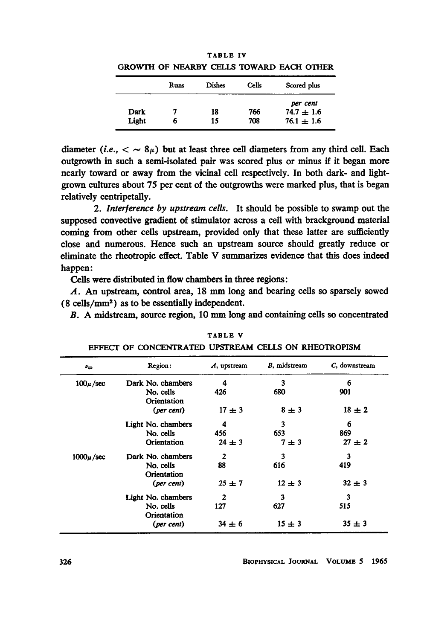|       |      |        |       | onowin of heandt cells towand lach office |
|-------|------|--------|-------|-------------------------------------------|
|       | Runs | Dishes | Cells | Scored plus                               |
|       |      |        |       | per cent                                  |
| Dark  |      | 18     | 766   | $74.7 \pm 1.6$                            |
| Light | 6    | 15     | 708   | $76.1 \pm 1.6$                            |

TABLE IV GROWTH OF NEARBY CELLS TOWARD EACH OTHER

diameter (*i.e.*,  $\langle \ \sim 8\mu \rangle$  but at least three cell diameters from any third cell. Each outgrowth in such a semi-isolated pair was scored plus or minus if it began more nearly toward or away from the vicinal cell respectively. In both dark- and lightgrown cultures about 75 per cent of the outgrowths were marked plus, that is began relatively centripetally.

2. Interference by upstream cells. It should be possible to swamp out the supposed convective gradient of stimulator across a cell with brackground material coming from other cells upstream, provided only that these latter are sufficiently close and numerous. Hence such an upstream source should greatly reduce or eliminate the rheotropic effect. Table V summarizes evidence that this does indeed happen:

Cells were distributed in flow chambers in three regions:

A. An upstream, control area, <sup>18</sup> mm long and bearing cells so sparsely sowed (8 cells/mm2) as to be essentially independent.

B. A midstream, source region, <sup>10</sup> mm long and containing cells so concentrated

| $v_{\infty}$  | Region:                  | $A$ , upstream | B, midstream | C, downstream |
|---------------|--------------------------|----------------|--------------|---------------|
| $100\mu/sec$  | Dark No. chambers        | 4              | 3            | 6             |
|               | No. cells<br>Orientation | 426            | 680          | 901           |
|               | (per cent)               | $17 + 3$       | $8 \pm 3$    | $18 + 2$      |
|               | Light No. chambers       | 4              | 3            | 6             |
|               | No. cells                | 456            | 653          | 869           |
|               | Orientation              | $24 \pm 3$     | $7 \pm 3$    | $27 \pm 2$    |
| $1000\mu/sec$ | Dark No. chambers        | $\mathbf{2}$   | 3            | 3             |
|               | No. cells<br>Orientation | 88             | 616          | 419           |
|               | (per cent)               | $25 + 7$       | $12 \pm 3$   | $32 \pm 3$    |
|               | Light No. chambers       | $\mathbf{2}$   | 3            | 3             |
|               | No. cells<br>Orientation | 127            | 627          | 515           |
|               | (per cent)               | $34 \pm 6$     | $15 + 3$     | $35 + 3$      |

TABLE V EFFECT OF CONCENTRATED UPSTREAM CELLS ON RHEOTROPISM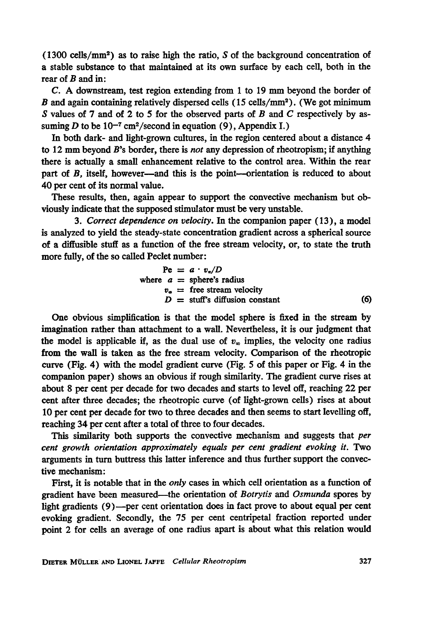(1300 cells/mm<sup>2</sup>) as to raise high the ratio, S of the background concentration of a stable substance to that maintained at its own surface by each cell, both in the rear of  $B$  and in:

C. A downstream, test region extending from <sup>1</sup> to <sup>19</sup> mm beyond the border of B and again containing relatively dispersed cells  $(15 \text{ cells/mm}^2)$ . (We got minimum S values of 7 and of 2 to 5 for the observed parts of B and C respectively by assuming D to be  $10^{-7}$  cm<sup>2</sup>/second in equation (9), Appendix I.)

In both dark- and light-grown cultures, in the region centered about a distance 4 to 12 mm beyond  $B$ 's border, there is *not* any depression of rheotropism; if anything there is actually a small enhancement relative to the control area. Within the rear part of B, itself, however-and this is the point-orientation is reduced to about 40 per cent of its normal value.

These results, then, again appear to support the convective mechanism but obviously indicate that the supposed stimulator must be very unstable.

3. Correct dependence on velocity. In the companion paper (13), a model is analyzed to yield the steady-state concentration gradient across a spherical source of a diffusible stuff as a function of the free stream velocity, or, to state the truth more fully, of the so called Peclet number:

$$
Pe = a \cdot v_{*}/D
$$
  
where  $a = \text{sphere's radius}$   
 $v_{*} = \text{free stream velocity}$   
 $D = \text{stuff's diffusion constant}$  (6)

One obvious simplification is that the model sphere is fixed in the stream by imagination rather than attachment to a wall. Nevertheless, it is our judgment that the model is applicable if, as the dual use of  $v_{\infty}$  implies, the velocity one radius from the wall is taken as the free stream velocity. Comparison of the rheotropic curve (Fig. 4) with the model gradient curve (Fig. 5 of this paper or Fig. 4 in the companion paper) shows an obvious if rough similarity. The gradient curve rises at about 8 per cent per decade for two decades and starts to level off, reaching 22 per cent after three decades; the rheotropic curve (of light-grown cells) rises at about 10 per cent per decade for two to three decades and then seems to start levelling off, reaching 34 per cent after a total of three to four decades.

This similarity both supports the convective mechanism and suggests that per cent growth orientation approximately equals per cent gradient evoking it. Two arguments in turn buttress this latter inference and thus further support the convective mechanism:

First, it is notable that in the only cases in which cell orientation as a function of gradient have been measured—the orientation of Botrytis and Osmunda spores by light gradients (9)-per cent orientation does in fact prove to about equal per cent evoking gradient. Secondly, the 75 per cent centripetal fraction reported under point 2 for cells an average of one radius apart is about what this relation would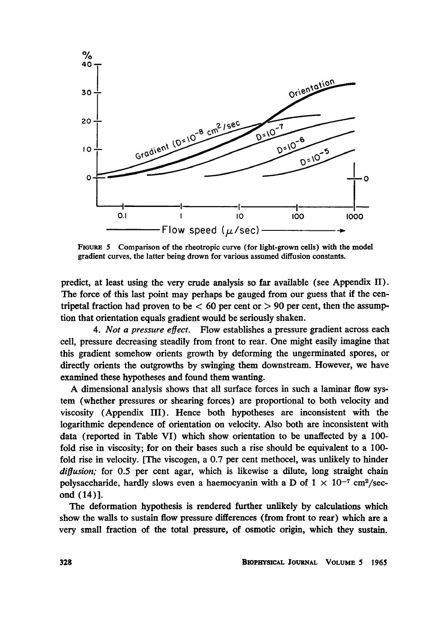

FIGURE 5 Comparison of the rheotropic curve (for light-grown cells) with the model gradient curves, the latter being drown for various assumed diffusion constants.

predict, at least using the very crude analysis so far available (see Appendix II). The force of this last point may perhaps be gauged from our guess that if the centripetal fraction had proven to be  $< 60$  per cent or  $> 90$  per cent, then the assumption that orientation equals gradient would be seriously shaken.

4. *Not a pressure effect*. Flow establishes a pressure gradient across each cell, pressure decreasing steadily from front to rear. One might easily imagine that this gradient somehow orients growth by deforming the ungerminated spores, or direcdy orients the outgrowths by swinging them downstream. However, we have examined these hypotheses and found them wanting.

A dimensional analysis shows that all surface forces in such <sup>a</sup> laminar flow system (whether pressures or shearing forces) are proportional to both velocity and viscosity (Appendix III). Hence both hypotheses are inconsistent with the logarithmic dependence of orientation on velocity. Also both are inconsistent with data (reported in Table VI) which show orientation to be unaffected by a 100 fold rise in viscosity; for on their bases such a rise should be equivalent to a 100 fold rise in velocity. [The viscogen, a 0.7 per cent methocel, was unlikely to hinder  $diffusion$ ; for 0.5 per cent agar, which is likewise a dilute, long straight chain polysaccharide, hardly slows even a haemocyanin with a D of  $1 \times 10^{-7}$  cm<sup>2</sup>/second (14)].

The deformation hypothesis is rendered further unlikely by calculations which show the walls to sustain flow pressure differences (from front to rear) which are a very small fraction of the total pressure, of osmotic origin, which they sustain.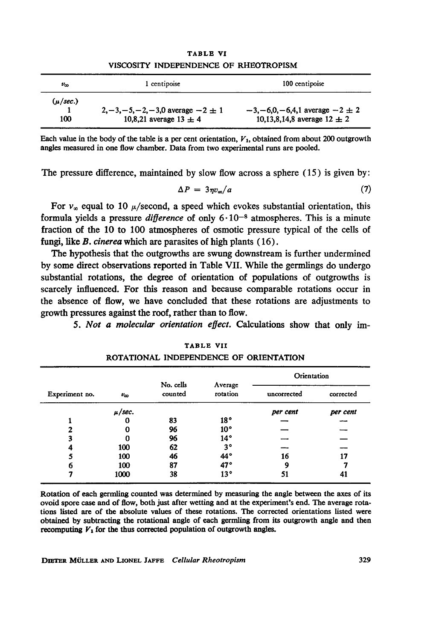| $v_{\infty}$ | 1 centipoise                              | 100 centipoise                           |
|--------------|-------------------------------------------|------------------------------------------|
| $(\mu/sec.)$ | $2, -3, -5, -2, -3, 0$ average $-2 \pm 1$ | $-3, -6, 0, -6, 4, 1$ average $-2 \pm 2$ |
| 100          | 10,8,21 average $13 \pm 4$                | 10,13,8,14,8 average $12 \pm 2$          |

TABLE VI VISCOSITY INDEPENDENCE OF RHEOTROPISM

Each value in the body of the table is a per cent orientation,  $V_1$ , obtained from about 200 outgrowth angles measured in one flow chamber. Data from two experimental runs are pooled.

The pressure difference, maintained by slow flow across a sphere  $(15)$  is given by:

$$
\Delta P = 3\eta v_{\infty}/a \tag{7}
$$

For  $v_{\infty}$  equal to 10  $\mu$ /second, a speed which evokes substantial orientation, this formula yields a pressure *difference* of only  $6 \cdot 10^{-8}$  atmospheres. This is a minute fraction of the 10 to 100 atmospheres of osmotic pressure typical of the cells of fungi, like B. cinerea which are parasites of high plants (16).

The hypothesis that the outgrowths are swung downstream is further undermined by some direct observations reported in Table VII. While the germlings do undergo substantial rotations, the degree of orientation of populations of outgrowths is scarcely influenced. For this reason and because comparable rotations occur in the absence of flow, we have concluded that these rotations are adjustments to growth pressures against the roof, rather than to flow.

5. Not a molecular orientation effect. Calculations show that only im-

### TABLE VII

| Experiment no. |              | No. cells<br>counted |                     | Orientation |           |  |
|----------------|--------------|----------------------|---------------------|-------------|-----------|--|
|                | $v_{\infty}$ |                      | Average<br>rotation | uncorrected | corrected |  |
|                | $\mu/sec.$   |                      |                     | per cent    | per cent  |  |
|                |              | 83                   | 18°                 |             |           |  |
| 2              | 0            | 96                   | 10 <sup>o</sup>     |             |           |  |
|                |              | 96                   | $14^{\circ}$        |             |           |  |
| 4              | 100          | 62                   | $3^{\circ}$         |             |           |  |
|                | 100          | 46                   | 44°                 | 16          | 17        |  |
| 6              | 100          | 87                   | 47°                 | 9           |           |  |
|                | 1000         | 38                   | 13°                 | 51          | 41        |  |

| ****** ***                             |  |
|----------------------------------------|--|
| ROTATIONAL INDEPENDENCE OF ORIENTATION |  |

Rotation of each germling counted was determined by measuring the angle between the axes of its ovoid spore case and of flow, both just after wetting and at the experiment's end. The average rotations listed are of the absolute values of these rotations. The corrected orientations listed were obtained by subtracting the rotational angle of each germling from its outgrowth angle and then recomputing  $V_1$  for the thus corrected population of outgrowth angles.

DIETER MÜLLER AND LIONEL JAFFE Cellular Rheotropism 329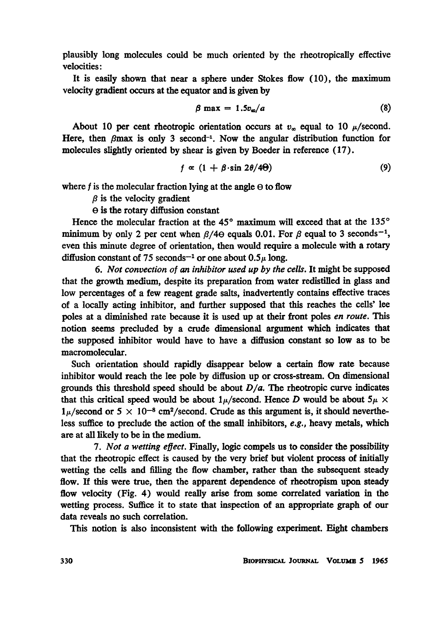plausibly long molecules could be much oriented by the rheotropically effective velocities:

It is easily shown that near a sphere under Stokes flow (10), the maximum velocity gradient occurs at the equator and is given by

$$
\beta \max = 1.5 v_{\infty}/a \tag{8}
$$

About 10 per cent rheotropic orientation occurs at  $v_{\infty}$  equal to 10  $\mu$ /second. Here, then  $\beta$ max is only 3 second<sup>-1</sup>. Now the angular distribution function for molecules slightly oriented by shear is given by Boeder in reference (17).

$$
f \propto (1 + \beta \cdot \sin 2\theta/4\Theta) \tag{9}
$$

where f is the molecular fraction lying at the angle  $\Theta$  to flow

 $\beta$  is the velocity gradient

e is the rotary diffusion constant

Hence the molecular fraction at the  $45^{\circ}$  maximum will exceed that at the  $135^{\circ}$ minimum by only 2 per cent when  $\beta$ /4 $\theta$  equals 0.01. For  $\beta$  equal to 3 seconds<sup>-1</sup>, even this minute degree of orientation, then would require a molecule with a rotary diffusion constant of 75 seconds<sup>-1</sup> or one about  $0.5\mu$  long.

6. Not convection of an inhibitor used up by the cells. It might be supposed that the growth medium, despite its preparation from water redistilled in glass and low percentages of a few reagent grade salts, inadvertently contains effective traces of a locally acting inhibitor, and further supposed that this reaches the cells' lee poles at a diminished rate because it is used up at their front poles en route. This notion seems precluded by a crude dimensional argument which indicates that the supposed inhibitor would have to have a diffusion constant so low as to be macromolecular.

Such orientation should rapidly disappear below a certain flow rate because inhibitor would reach the lee pole by diffusion up or cross-stream. On dimensional grounds this threshold speed should be about  $D/a$ . The rheotropic curve indicates that this critical speed would be about  $1\mu$ /second. Hence D would be about  $5\mu \times$  $1\mu$ /second or 5  $\times$  10<sup>-8</sup> cm<sup>2</sup>/second. Crude as this argument is, it should nevertheless suffice to preclude the action of the small inhibitors, e.g., heavy metals, which are at all likely to be in the medium.

7. Not a wetting effect. Finally, logic compels us to consider the possibility that the rheotropic effect is caused by the very brief but violent process of initially wetting the cells and filling the flow chamber, rather than the subsequent steady flow. If this were true, then the apparent dependence of rheotropism upon steady flow velocity (Fig. 4) would really arise from some correlated variation in the wetting process. Suffice it to state that inspection of an appropriate graph of our data reveals no such correlation.

This notion is also inconsistent with the following experiment. Eight chambers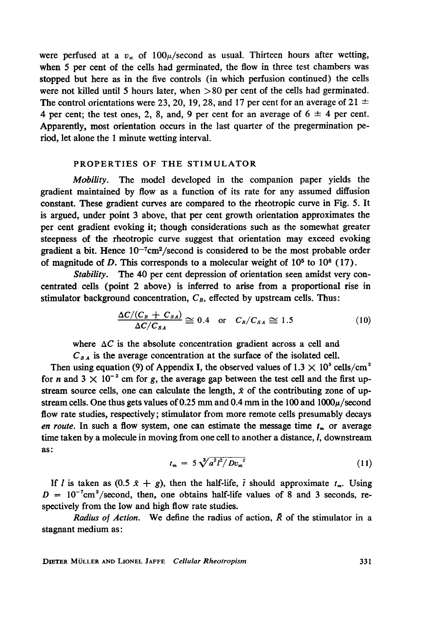were perfused at a  $v_x$  of  $100\mu/\text{second}$  as usual. Thirteen hours after wetting, when 5 per cent of the cells had germinated, the flow in three test chambers was stopped but here as in the five controls (in which perfusion continued) the cells were not killed until 5 hours later, when  $>80$  per cent of the cells had germinated. The control orientations were 23, 20, 19, 28, and 17 per cent for an average of 21  $\pm$ 4 per cent; the test ones, 2, 8, and, 9 per cent for an average of  $6 \pm 4$  per cent. Apparently, most orientation occurs in the last quarter of the pregermination period, let alone the <sup>1</sup> minute wetting interval.

## PROPERTIES OF THE STIMULATOR

Mobility. The model developed in the companion paper yields the gradient maintained by flow as a function of its rate for any assumed diffusion constant. These gradient curves are compared to the rheotropic curve in Fig. 5. It is argued, under point 3 above, that per cent growth orientation approximates the per cent gradient evoking it; though considerations such as the somewhat greater steepness of the rheotropic curve suggest that orientation may exceed evoking gradient a bit. Hence  $10^{-7}$ cm<sup>2</sup>/second is considered to be the most probable order of magnitude of D. This corresponds to a molecular weight of  $10<sup>5</sup>$  to  $10<sup>8</sup>$  (17).

Stability. The 40 per cent depression of orientation seen amidst very concentrated cells (point 2 above) is inferred to arise from a proportional rise in stimulator background concentration,  $C_B$ , effected by upstream cells. Thus:

$$
\frac{\Delta C/(C_B + C_{SA})}{\Delta C/C_{SA}} \cong 0.4 \quad \text{or} \quad C_B/C_{SA} \cong 1.5 \tag{10}
$$

where  $\Delta C$  is the absolute concentration gradient across a cell and

 $C_{sA}$  is the average concentration at the surface of the isolated cell.

Then using equation (9) of Appendix I, the observed values of  $1.3 \times 10^5$  cells/cm<sup>2</sup> for n and  $3 \times 10^{-3}$  cm for g, the average gap between the test cell and the first upstream source cells, one can calculate the length,  $\bar{x}$  of the contributing zone of upstream cells. One thus gets values of 0.25 mm and 0.4 mm in the 100 and  $1000\mu/\text{second}$ flow rate studies, respectively; stimulator from more remote cells presumably decays en route. In such a flow system, one can estimate the message time  $t_m$  or average time taken by a molecule in moving from one cell to another a distance, *l*, downstream as:

$$
t_m = 5\sqrt[3]{a^2t^2/Dv_{\infty}^2}
$$
 (11)

If I is taken as  $(0.5 \t x + g)$ , then the half-life, i should approximate  $t_m$ . Using  $D = 10^{-7}$ cm<sup>2</sup>/second, then, one obtains half-life values of 8 and 3 seconds, respectively from the low and high flow rate studies.

Radius of Action. We define the radius of action,  $\bar{R}$  of the stimulator in a stagnant medium as:

DIETER MULLER AND LIONEL JAFFE Cellular Rheotropism 331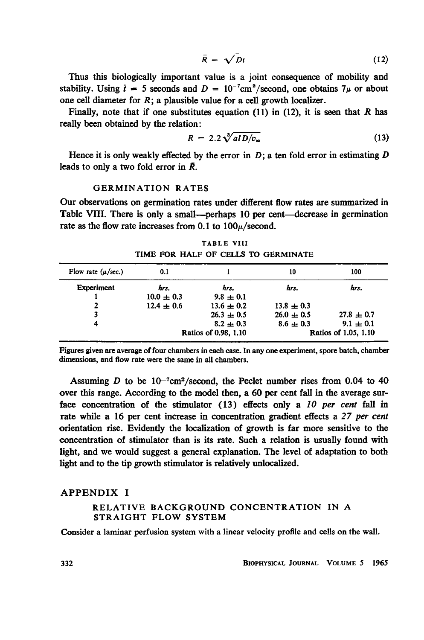$$
\bar{R} = \sqrt{Dt} \tag{12}
$$

Thus this biologically important value is a joint consequence of mobility and stability. Using  $\bar{t} = 5$  seconds and  $D = 10^{-7}$ cm<sup>2</sup>/second, one obtains  $7\mu$  or about one cell diameter for  $R$ ; a plausible value for a cell growth localizer.

Finally, note that if one substitutes equation (11) in (12), it is seen that R has really been obtained by the relation:

$$
R = 2.2 \sqrt[3]{alD/v_{\infty}} \tag{13}
$$

Hence it is only weakly effected by the error in  $D$ ; a ten fold error in estimating  $D$ leads to only a two fold error in  $\bar{R}$ .

## GERMINATION RATES

Our observations on germination rates under different flow rates are summarized in Table VIII. There is only a small—perhaps 10 per cent—decrease in germination rate as the flow rate increases from 0.1 to  $100\mu/\text{second}$ .

|                        |                |                      | ------------------------- |                      |
|------------------------|----------------|----------------------|---------------------------|----------------------|
| Flow rate $(\mu/sec.)$ | 0.1            |                      | 10                        | 100                  |
| Experiment             | hrs.           | hrs.                 | hrs.                      | hrs.                 |
|                        | $10.0 \pm 0.3$ | $9.8 \pm 0.1$        |                           |                      |
| 2                      | $12.4 \pm 0.6$ | $13.6 \pm 0.2$       | $13.8 \pm 0.3$            |                      |
| 3                      |                | $26.3 \pm 0.5$       | $26.0 \pm 0.5$            | $27.8 \pm 0.7$       |
| 4                      |                | $8.2 \pm 0.3$        | $8.6 \pm 0.3$             | $9.1 \pm 0.1$        |
|                        |                | Ratios of 0.98, 1.10 |                           | Ratios of 1.05, 1.10 |

TABLE VIII TIME FOR HALF OF CELLS TO GERMINATE

Figures given are average of four chambers in each case. In any one experiment, spore batch, chamber dimensions, and flow rate were the same in all chambers.

Assuming  $D$  to be  $10^{-7}$ cm<sup>2</sup>/second, the Peclet number rises from 0.04 to 40 over this range. According to the model then, a 60 per cent fall in the average surface concentration of the stimulator  $(13)$  effects only a 10 per cent fall in rate while a 16 per cent increase in concentration gradient effects a 27 per cent orientation rise. Evidently the localization of growth is far more sensitive to the concentration of stimulator than is its rate. Such a relation is usually found with light, and we would suggest a general explanation. The level of adaptation to both light and to the tip growth stimulator is relatively unlocalized.

#### APPENDIX <sup>I</sup>

### RELATIVE BACKGROUND CONCENTRATION IN A STRAIGHT FLOW SYSTEM

Consider a laminar perfusion system with a linear velocity profile and cells on the wall.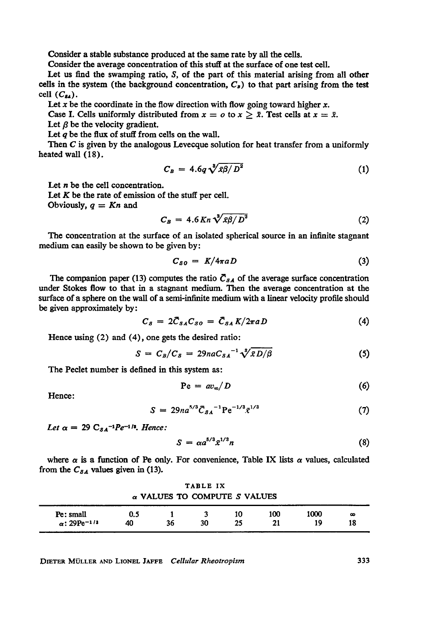Consider a stable substance produced at the same rate by all the cells.

Consider the average concentration of this stuff at the surface of one test cell.

Let us find the swamping ratio, S, of the part of this material arising from all other cells in the system (the background concentration,  $C_B$ ) to that part arising from the test cell  $(C_{\mathfrak{g}_A})$ .

Let  $x$  be the coordinate in the flow direction with flow going toward higher  $x$ .

Case I. Cells uniformly distributed from  $x = o$  to  $x \ge \overline{x}$ . Test cells at  $x = \overline{x}$ .

Let  $\beta$  be the velocity gradient.

Let  $q$  be the flux of stuff from cells on the wall.

Then  $C$  is given by the analogous Levecque solution for heat transfer from a uniformly heated wall (18).

$$
C_B = 4.6q\sqrt[3]{\bar{x}\beta/D^2} \tag{1}
$$

Let  $n$  be the cell concentration.

Let  $K$  be the rate of emission of the stuff per cell.

Obviously,  $q = Kn$  and

$$
C_B = 4.6 K n \sqrt[3]{\bar{x} \beta / D^2}
$$
 (2)

The concentration at the surface of an isolated spherical source in an infinite stagnant medium can easily be shown to be given by:

$$
C_{SO} = K/4\pi a D \tag{3}
$$

The companion paper (13) computes the ratio  $\bar{C}_{SA}$  of the average surface concentration under Stokes flow to that in a stagnant medium. Then the average concentration at the surface of a sphere on the wall of a semi-infinite medium with a linear velocity profile should be given approximately by:

$$
C_S = 2\bar{C}_{SA}C_{SO} = \bar{C}_{SA}K/2\pi aD \qquad (4)
$$

Hence using (2) and (4), one gets the desired ratio:

$$
S = C_B/C_S = 29n a C_{SA}^{-1} \sqrt[3]{\bar{x}D/\beta}
$$
 (5)

The Peclet number is defined in this system as:

$$
Pe = av_{\infty}/D \tag{6}
$$

Hence:

$$
S = 29na^{5/3}\bar{C}_{SA}^{-1} \text{Pe}^{-1/3} \bar{x}^{1/3}
$$
 (7)

Let  $\alpha = 29 \text{ C}_{SA}^{-1}$ Pe<sup>-1</sup><sup>1</sup>, Hence:

$$
S = \alpha a^{5/3} \bar{x}^{1/3} n \tag{8}
$$

where  $\alpha$  is a function of Pe only. For convenience, Table IX lists  $\alpha$  values, calculated from the  $C_{SA}$  values given in (13).

TABLE IX  $\alpha$  VALUES TO COMPUTE S VALUES

| Pe: small                       | U.J |    |    | 10                                  | 100 | 1000 | $\sim$<br>- |
|---------------------------------|-----|----|----|-------------------------------------|-----|------|-------------|
| $\alpha$ : 29Pe <sup>-1/3</sup> | 40  | 36 | 30 | ,.<br>The company of the company of |     | 19   | 10          |

DIETER MULLER AND LIONEL JAFFE Cellular Rheotropism 333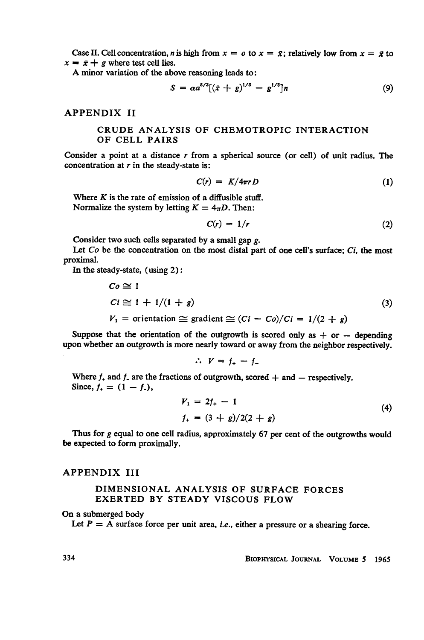Case II. Cell concentration, n is high from  $x = o$  to  $x = \bar{x}$ ; relatively low from  $x = \bar{x}$  to  $x = \bar{x} + g$  where test cell lies.

A minor variation of the above reasoning leads to:

$$
S = \alpha a^{5/3} [(\bar{x} + g)^{1/3} - g^{1/3}] n \tag{9}
$$

APPENDIX II

# CRUDE ANALYSIS OF CHEMOTROPIC INTERACTION OF CELL PAIRS

Consider a point at a distance  $r$  from a spherical source (or cell) of unit radius. The concentration at  $r$  in the steady-state is:

$$
C(r) = K/4\pi r D \tag{1}
$$

Where  $K$  is the rate of emission of a diffusible stuff. Normalize the system by letting  $K = 4\pi D$ . Then:

$$
C(r) = 1/r \tag{2}
$$

Consider two such cells separated by a small gap  $g$ .

Let  $Co$  be the concentration on the most distal part of one cell's surface;  $Ci$ , the most proximal.

In the steady-state, (using 2):

$$
Co \cong 1
$$
  
\n
$$
Ci \cong 1 + 1/(1 + g)
$$
  
\n
$$
V_1 = orientation \cong gradient \cong (Ci - Co)/Ci = 1/(2 + g)
$$
\n(3)

Suppose that the orientation of the outgrowth is scored only as  $+$  or  $-$  depending upon whether an outgrowth is more nearly toward or away from the neighbor respectively.

$$
\therefore V = f_+ - f_-
$$

Where  $f_+$  and  $f_-$  are the fractions of outgrowth, scored  $+$  and  $-$  respectively. Since,  $f_+ = (1 - f_-)$ ,

$$
V_1 = 2f_+ - 1
$$
  
\n
$$
f_+ = (3 + g)/2(2 + g)
$$
\n(4)

Thus for  $g$  equal to one cell radius, approximately 67 per cent of the outgrowths would be expected to form proximally.

#### APPENDIX III

#### DIMENSIONAL ANALYSIS OF SURFACE FORCES EXERTED BY STEADY VISCOUS FLOW

#### On a submerged body

Let  $P = A$  surface force per unit area, *i.e.*, either a pressure or a shearing force.